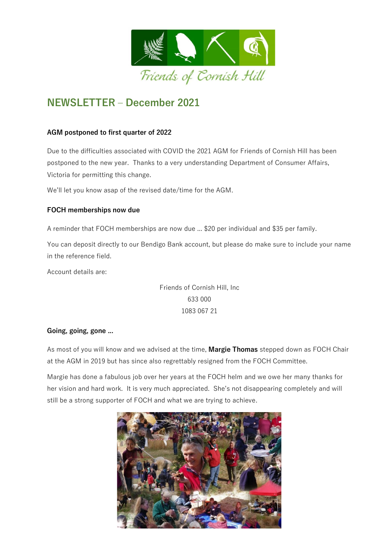

# **NEWSLETTER – December 2021**

# **AGM postponed to first quarter of 2022**

Due to the difficulties associated with COVID the 2021 AGM for Friends of Cornish Hill has been postponed to the new year. Thanks to a very understanding Department of Consumer Affairs, Victoria for permitting this change.

We'll let you know asap of the revised date/time for the AGM.

# **FOCH memberships now due**

A reminder that FOCH memberships are now due ... \$20 per individual and \$35 per family.

You can deposit directly to our Bendigo Bank account, but please do make sure to include your name in the reference field.

Account details are:

Friends of Cornish Hill, Inc 633 000 1083 067 21

## **Going, going, gone ...**

As most of you will know and we advised at the time, **Margie Thomas** stepped down as FOCH Chair at the AGM in 2019 but has since also regrettably resigned from the FOCH Committee.

Margie has done a fabulous job over her years at the FOCH helm and we owe her many thanks for her vision and hard work. It is very much appreciated. She's not disappearing completely and will still be a strong supporter of FOCH and what we are trying to achieve.

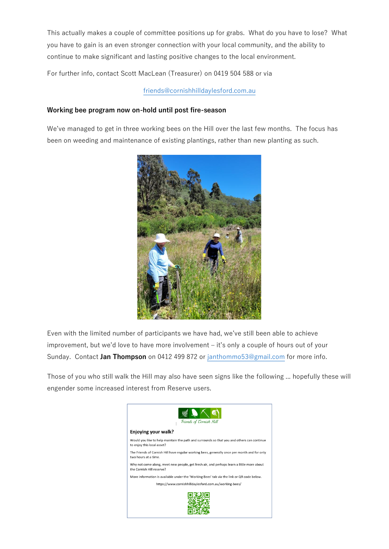This actually makes a couple of committee positions up for grabs. What do you have to lose? What you have to gain is an even stronger connection with your local community, and the ability to continue to make significant and lasting positive changes to the local environment.

For further info, contact Scott MacLean (Treasurer) on 0419 504 588 or via

[friends@cornishhilldaylesford.com.au](mailto:friends@cornishhilldaylesford.com.au)

#### **Working bee program now on-hold until post fire-season**

We've managed to get in three working bees on the Hill over the last few months. The focus has been on weeding and maintenance of existing plantings, rather than new planting as such.



Even with the limited number of participants we have had, we've still been able to achieve improvement, but we'd love to have more involvement – it's only a couple of hours out of your Sunday. Contact **Jan Thompson** on 0412 499 872 or [janthommo53@gmail.com](mailto:janthommo53@gmail.com) for more info.

Those of you who still walk the Hill may also have seen signs like the following ... hopefully these will engender some increased interest from Reserve users.